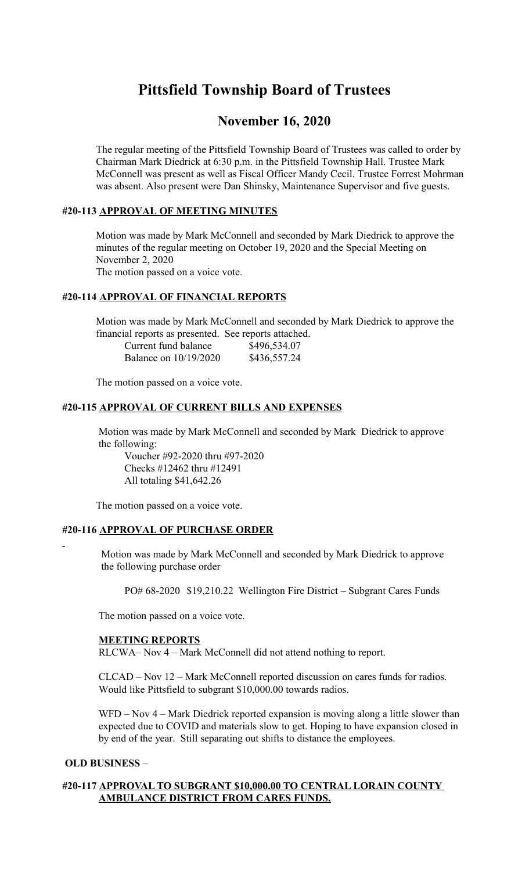# **Pittsfield Township Board of Trustees**

# **November 16, 2020**

 The regular meeting of the Pittsfield Township Board of Trustees was called to order by Chairman Mark Diedrick at 6:30 p.m. in the Pittsfield Township Hall. Trustee Mark McConnell was present as well as Fiscal Officer Mandy Cecil. Trustee Forrest Mohrman was absent. Also present were Dan Shinsky, Maintenance Supervisor and five guests.

# **#20-113 APPROVAL OF MEETING MINUTES**

 Motion was made by Mark McConnell and seconded by Mark Diedrick to approve the minutes of the regular meeting on October 19, 2020 and the Special Meeting on November 2, 2020 The motion passed on a voice vote.

# **#20-114 APPROVAL OF FINANCIAL REPORTS**

 Motion was made by Mark McConnell and seconded by Mark Diedrick to approve the financial reports as presented. See reports attached.

| Current fund balance  | \$496,534.07 |
|-----------------------|--------------|
| Balance on 10/19/2020 | \$436,557.24 |

The motion passed on a voice vote.

# **#20-115 APPROVAL OF CURRENT BILLS AND EXPENSES**

 Motion was made by Mark McConnell and seconded by Mark Diedrick to approve the following:

Voucher #92-2020 thru #97-2020 Checks #12462 thru #12491 All totaling \$41,642.26

The motion passed on a voice vote.

# **#20-116 APPROVAL OF PURCHASE ORDER**

 Motion was made by Mark McConnell and seconded by Mark Diedrick to approve the following purchase order

PO# 68-2020 \$19,210.22 Wellington Fire District – Subgrant Cares Funds

The motion passed on a voice vote.

# **MEETING REPORTS**

RLCWA– Nov 4 – Mark McConnell did not attend nothing to report.

 CLCAD – Nov 12 – Mark McConnell reported discussion on cares funds for radios. Would like Pittsfield to subgrant \$10,000.00 towards radios.

WFD – Nov 4 – Mark Diedrick reported expansion is moving along a little slower than expected due to COVID and materials slow to get. Hoping to have expansion closed in by end of the year. Still separating out shifts to distance the employees.

# **OLD BUSINESS** –

# **#20-117 APPROVAL TO SUBGRANT \$10,000.00 TO CENTRAL LORAIN COUNTY AMBULANCE DISTRICT FROM CARES FUNDS.**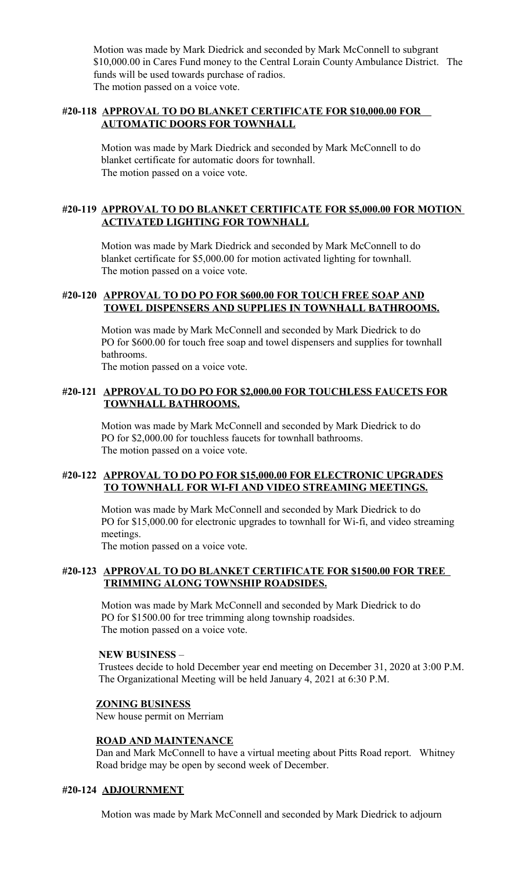Motion was made by Mark Diedrick and seconded by Mark McConnell to subgrant \$10,000.00 in Cares Fund money to the Central Lorain County Ambulance District. The funds will be used towards purchase of radios. The motion passed on a voice vote.

# **#20-118 APPROVAL TO DO BLANKET CERTIFICATE FOR \$10,000.00 FOR AUTOMATIC DOORS FOR TOWNHALL**

 Motion was made by Mark Diedrick and seconded by Mark McConnell to do blanket certificate for automatic doors for townhall. The motion passed on a voice vote.

# **#20-119 APPROVAL TO DO BLANKET CERTIFICATE FOR \$5,000.00 FOR MOTION ACTIVATED LIGHTING FOR TOWNHALL**

 Motion was made by Mark Diedrick and seconded by Mark McConnell to do blanket certificate for \$5,000.00 for motion activated lighting for townhall. The motion passed on a voice vote.

# **#20-120 APPROVAL TO DO PO FOR \$600.00 FOR TOUCH FREE SOAP AND TOWEL DISPENSERS AND SUPPLIES IN TOWNHALL BATHROOMS.**

 Motion was made by Mark McConnell and seconded by Mark Diedrick to do PO for \$600.00 for touch free soap and towel dispensers and supplies for townhall bathrooms.

The motion passed on a voice vote.

# **#20-121 APPROVAL TO DO PO FOR \$2,000.00 FOR TOUCHLESS FAUCETS FOR TOWNHALL BATHROOMS.**

 Motion was made by Mark McConnell and seconded by Mark Diedrick to do PO for \$2,000.00 for touchless faucets for townhall bathrooms. The motion passed on a voice vote.

# **#20-122 APPROVAL TO DO PO FOR \$15,000.00 FOR ELECTRONIC UPGRADES TO TOWNHALL FOR WI-FI AND VIDEO STREAMING MEETINGS.**

 Motion was made by Mark McConnell and seconded by Mark Diedrick to do PO for \$15,000.00 for electronic upgrades to townhall for Wi-fi, and video streaming meetings.

The motion passed on a voice vote.

# **#20-123 APPROVAL TO DO BLANKET CERTIFICATE FOR \$1500.00 FOR TREE TRIMMING ALONG TOWNSHIP ROADSIDES.**

 Motion was made by Mark McConnell and seconded by Mark Diedrick to do PO for \$1500.00 for tree trimming along township roadsides. The motion passed on a voice vote.

# **NEW BUSINESS** –

Trustees decide to hold December year end meeting on December 31, 2020 at 3:00 P.M. The Organizational Meeting will be held January 4, 2021 at 6:30 P.M.

# **ZONING BUSINESS**

New house permit on Merriam

# **ROAD AND MAINTENANCE**

 Dan and Mark McConnell to have a virtual meeting about Pitts Road report. Whitney Road bridge may be open by second week of December.

# **#20-124 ADJOURNMENT**

Motion was made by Mark McConnell and seconded by Mark Diedrick to adjourn